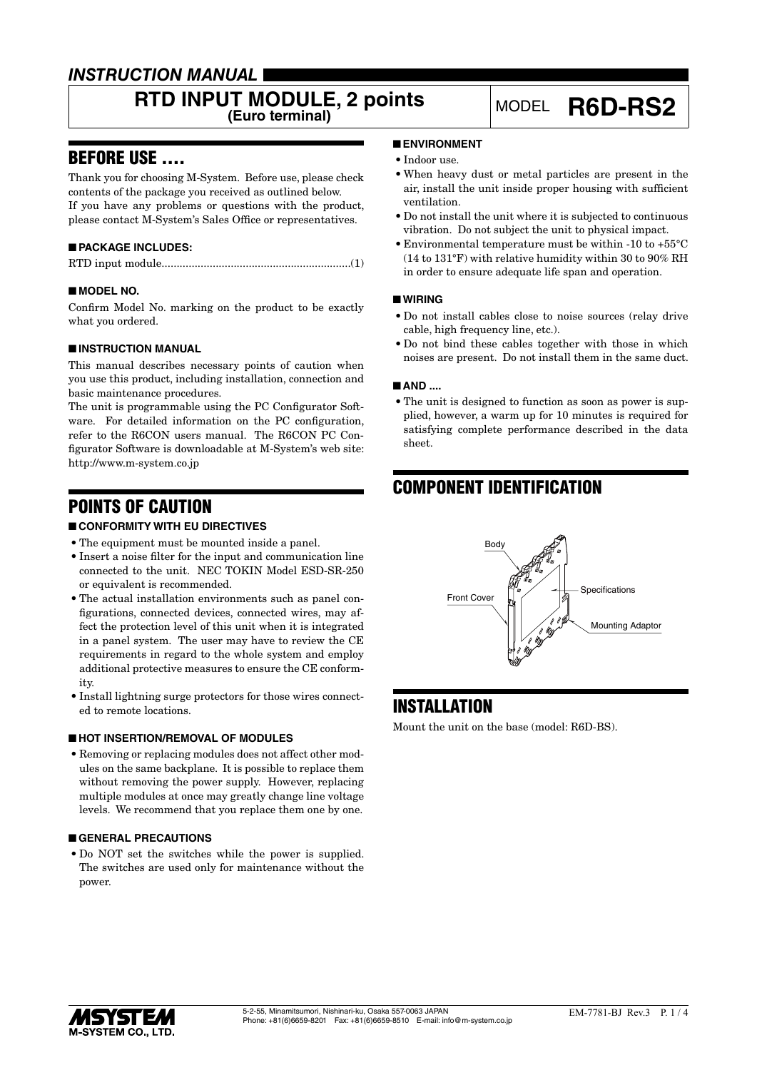### *INSTRUCTION MANUAL*

# **RTD INPUT MODULE, 2 points** MODEL **R6D-RS2**

### BEFORE USE ....

Thank you for choosing M-System. Before use, please check contents of the package you received as outlined below. If you have any problems or questions with the product, please contact M-System's Sales Office or representatives.

### ■ **PACKAGE INCLUDES:**

|--|--|

#### ■ **MODEL NO.**

Confirm Model No. marking on the product to be exactly what you ordered.

#### ■ **INSTRUCTION MANUAL**

This manual describes necessary points of caution when you use this product, including installation, connection and basic maintenance procedures.

The unit is programmable using the PC Configurator Software. For detailed information on the PC configuration, refer to the R6CON users manual. The R6CON PC Configurator Software is downloadable at M-System's web site: http://www.m-system.co.jp

### POINTS OF CAUTION

### ■ **CONFORMITY WITH EU DIRECTIVES**

- The equipment must be mounted inside a panel.
- • Insert a noise filter for the input and communication line connected to the unit. NEC TOKIN Model ESD-SR-250 or equivalent is recommended.
- The actual installation environments such as panel configurations, connected devices, connected wires, may affect the protection level of this unit when it is integrated in a panel system. The user may have to review the CE requirements in regard to the whole system and employ additional protective measures to ensure the CE conformity.
- Install lightning surge protectors for those wires connected to remote locations.

#### ■ **HOT INSERTION/REMOVAL OF MODULES**

• Removing or replacing modules does not affect other modules on the same backplane. It is possible to replace them without removing the power supply. However, replacing multiple modules at once may greatly change line voltage levels. We recommend that you replace them one by one.

#### ■ **GENERAL PRECAUTIONS**

• Do NOT set the switches while the power is supplied. The switches are used only for maintenance without the power.

#### ■ **ENVIRONMENT**

- Indoor use.
- • When heavy dust or metal particles are present in the air, install the unit inside proper housing with sufficient ventilation.
- • Do not install the unit where it is subjected to continuous vibration. Do not subject the unit to physical impact.
- • Environmental temperature must be within -10 to +55°C (14 to 131°F) with relative humidity within 30 to 90% RH in order to ensure adequate life span and operation.

#### ■ **WIRING**

- • Do not install cables close to noise sources (relay drive cable, high frequency line, etc.).
- • Do not bind these cables together with those in which noises are present. Do not install them in the same duct.

#### ■ **AND** ....

• The unit is designed to function as soon as power is supplied, however, a warm up for 10 minutes is required for satisfying complete performance described in the data sheet.

## COMPONENT IDENTIFICATION



### **INSTALLATION**

Mount the unit on the base (model: R6D-BS).

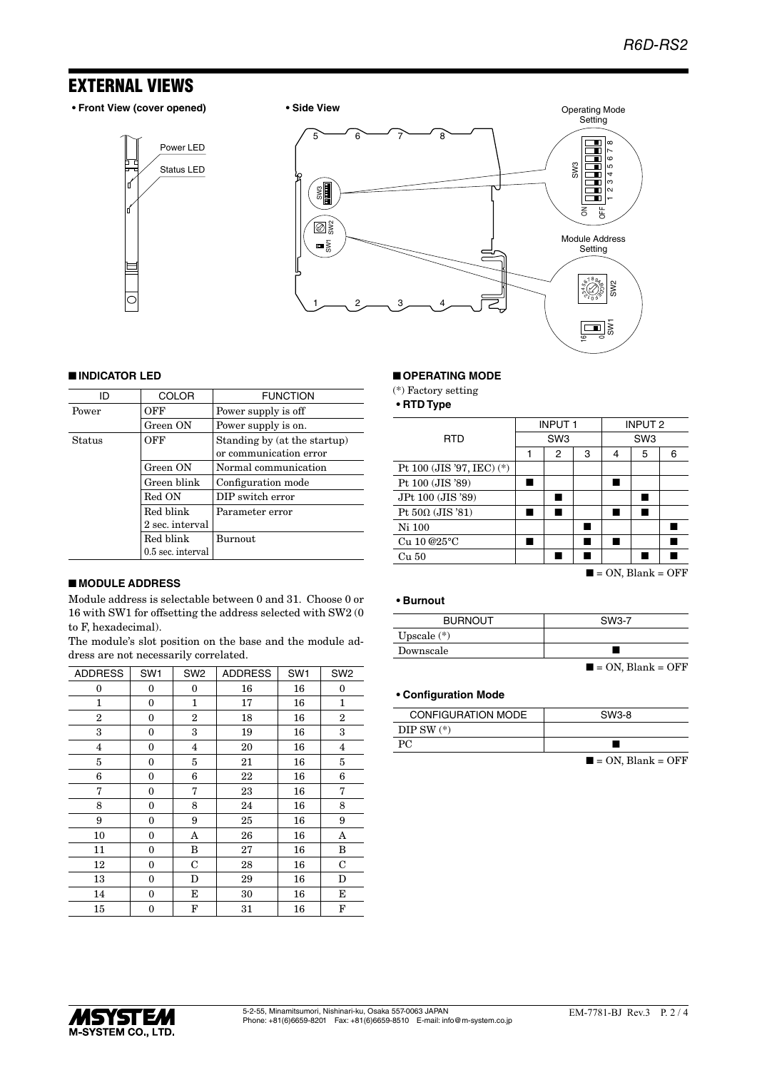### EXTERNAL VIEWS

**• Front View (cover opened) • Side View**

Status LED Power LED





#### ■ **INDICATOR LED**

| ID     | <b>COLOR</b>      | <b>FUNCTION</b>                                        |
|--------|-------------------|--------------------------------------------------------|
| Power  | OFF               | Power supply is off                                    |
|        | Green ON          | Power supply is on.                                    |
| Status | OFF               | Standing by (at the startup)<br>or communication error |
|        | Green ON          | Normal communication                                   |
|        | Green blink       | Configuration mode                                     |
|        | Red ON            | DIP switch error                                       |
|        | Red blink         | Parameter error                                        |
|        | 2 sec. interval   |                                                        |
|        | Red blink         | <b>Burnout</b>                                         |
|        | 0.5 sec. interval |                                                        |

#### ■ **MODULE ADDRESS**

Module address is selectable between 0 and 31. Choose 0 or 16 with SW1 for offsetting the address selected with SW2 (0 to F, hexadecimal).

The module's slot position on the base and the module address are not necessarily correlated.

| <b>ADDRESS</b>          | SW <sub>1</sub> | SW <sub>2</sub> | <b>ADDRESS</b> | SW <sub>1</sub> | SW <sub>2</sub> |
|-------------------------|-----------------|-----------------|----------------|-----------------|-----------------|
| 0                       | 0               | 0               | 16             | 16              | $\bf{0}$        |
| 1                       | 0               | 1               | 17             | 16              | $\mathbf{1}$    |
| $\overline{2}$          | $\mathbf{0}$    | $\overline{2}$  | 18             | 16              | $\overline{2}$  |
| 3                       | $\mathbf{0}$    | 3               | 19             | 16              | 3               |
| $\overline{\mathbf{4}}$ | 0               | 4               | 20             | 16              | $\overline{4}$  |
| 5                       | 0               | 5               | 21             | 16              | 5               |
| 6                       | 0               | 6               | 22             | 16              | 6               |
| 7                       | $\mathbf{0}$    | 7               | 23             | 16              | 7               |
| 8                       | $\mathbf{0}$    | 8               | 24             | 16              | 8               |
| 9                       | 0               | 9               | 25             | 16              | 9               |
| 10                      | 0               | A               | 26             | 16              | A               |
| 11                      | 0               | B               | 27             | 16              | B               |
| 12                      | 0               | C               | 28             | 16              | C               |
| 13                      | 0               | D               | 29             | 16              | D               |
| 14                      | $\mathbf{0}$    | Е               | 30             | 16              | E               |
| 15                      | 0               | F               | 31             | 16              | F               |

#### ■ **OPERATING MODE**

(\*) Factory setting

**• RTD Type**

|                           | <b>INPUT1</b>   |   | <b>INPUT 2</b>  |   |                              |        |
|---------------------------|-----------------|---|-----------------|---|------------------------------|--------|
| <b>RTD</b>                | SW <sub>3</sub> |   | SW <sub>3</sub> |   |                              |        |
|                           |                 | 2 | 3               | 4 | 5                            | 6      |
| Pt 100 (JIS '97, IEC) (*) |                 |   |                 |   |                              |        |
| Pt 100 (JIS '89)          |                 |   |                 |   |                              |        |
| JPt 100 (JIS '89)         |                 |   |                 |   |                              |        |
| Pt $50\Omega$ (JIS '81)   |                 |   |                 |   |                              |        |
| Ni 100                    |                 |   |                 |   |                              |        |
| Cu 10 @25°C               |                 |   |                 |   |                              |        |
| Cu 50                     |                 |   |                 |   |                              |        |
|                           |                 |   |                 |   | $\Omega_{\rm M}$ DI $\Omega$ | $\cap$ |

#### $\blacksquare$  = ON, Blank = OFF

#### **• Burnout**

| <b>BURNOUT</b> | SW3-7                            |
|----------------|----------------------------------|
| Upscale $(*)$  |                                  |
| Downscale      |                                  |
|                | $\blacksquare$ = ON, Blank = OFF |

#### **• Configuration Mode**

| <b>CONFIGURATION MODE</b> | SW3-8 |
|---------------------------|-------|
| DIP SW $(*)$              |       |
|                           |       |

 $\blacksquare$  = ON, Blank = OFF

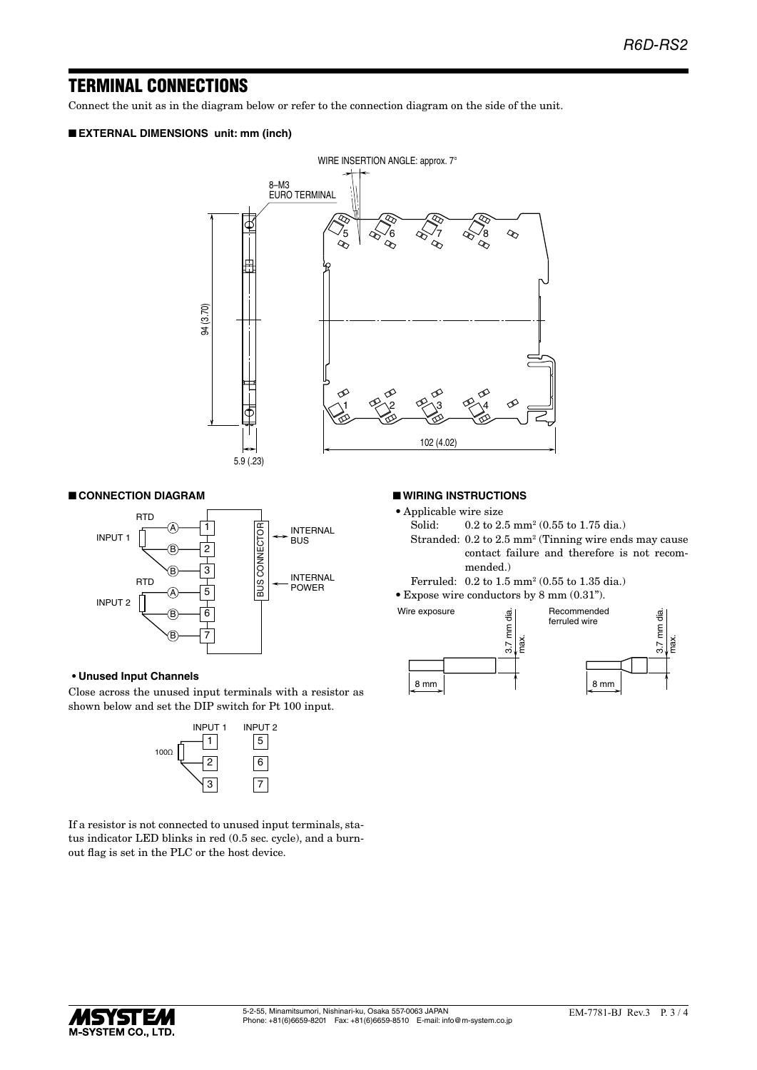### TERMINAL CONNECTIONS

Connect the unit as in the diagram below or refer to the connection diagram on the side of the unit.

#### ■ **EXTERNAL DIMENSIONS unit: mm (inch)**



#### ■ **CONNECTION DIAGRAM**



#### **• Unused Input Channels**

Close across the unused input terminals with a resistor as shown below and set the DIP switch for Pt 100 input.



If a resistor is not connected to unused input terminals, status indicator LED blinks in red (0.5 sec. cycle), and a burnout flag is set in the PLC or the host device.

#### ■ **WIRING INSTRUCTIONS**

- Applicable wire size<br>Solid:  $0.2$  to  $2$ .
- Solid: 0.2 to 2.5 mm<sup>2</sup> (0.55 to 1.75 dia.)
- Stranded: 0.2 to 2.5 mm<sup>2</sup> (Tinning wire ends may cause contact failure and therefore is not recommended.)
- Ferruled: 0.2 to 1.5 mm2 (0.55 to 1.35 dia.)
- Expose wire conductors by 8 mm  $(0.31")$ .